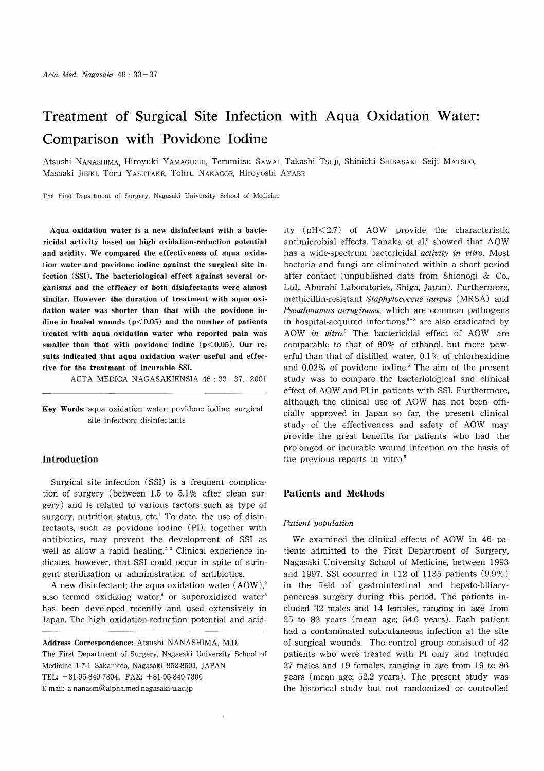# Treatment of Surgical Site Infection with Aqua Oxidation Water: Comparison with Povidone Iodine

Atsushi NANASHIMA, Hiroyuki YAMAGUCHI, Terumitsu SAWAI, Takashi Tsuji, Shinichi SHIBASAKI, Seiji MATSUO, Masaaki JIBIKI, Toru YASUTAKE, Tohru NAKAGOE, Hiroyoshi AYABE

The First Department of Surgery, Nagasaki University School of Medicine

Aqua oxidation water is a new disinfectant with a bactericidal activity based on high oxidation-reduction potential and acidity. We compared the effectiveness of aqua oxidation water and povidone iodine against the surgical site infection (SSI). The bacteriological effect against several organisms and the efficacy of both disinfectants were almost similar. However, the duration of treatment with aqua oxidation water was shorter than that with the povidone iodine in healed wounds  $(p<0.05)$  and the number of patients treated with aqua oxidation water who reported pain was smaller than that with povidone iodine  $(p<0.05)$ . Our results indicated that aqua oxidation water useful and effective for the treatment of incurable SSI.

ACTA MEDICA NAGASAKIENSIA 46 : 33-37, 2001

Key Words: aqua oxidation water; povidone iodine; surgical site infection; disinfectants

# Introduction

Surgical site infection (SSI) is a frequent complication of surgery (between 1.5 to 5.1% after clean surgery) and is related to various factors such as type of surgery, nutrition status, etc.' To date, the use of disinfectants, such as povidone iodine (PI), together with antibiotics, may prevent the development of SSI as well as allow a rapid healing.<sup>2, 3</sup> Clinical experience indicates, however, that SSI could occur in spite of stringent sterilization or administration of antibiotics.

A new disinfectant; the aqua oxidation water  $(AOW)_i$ . also termed oxidizing water,<sup>4</sup> or superoxidized water<sup>5</sup> has been developed recently and used extensively in Japan. The high oxidation-reduction potential and acid-

Address Correspondence: Atsushi NANASHIMA, M.D. The First Department of Surgery, Nagasaki University School of Medicine 1-7-1 Sakamoto, Nagasaki 852-8501, JAPAN TEL: +81-95-849-7304, FAX: +81-95-849-7306 E-mail: a-nanasm@alpha.med.nagasaki-u.ac.jp

ity (pH< 2.7) of AOW provide the characteristic antimicrobial effects. Tanaka et al.<sup>5</sup> showed that AOW has a wide-spectrum bactericidal activity in vitro. Most bacteria and fungi are eliminated within a short period after contact (unpublished data from Shionogi & Co., Ltd., Aburahi Laboratories, Shiga, Japan). Furthermore, methicillin-resistant Staphylococcus aureus (MRSA) and Pseudomonas aeruginosa, which are common pathogens in hospital-acquired infections, $6-8$  are also eradicated by AOW in vitro.' The bactericidal effect of AOW are comparable to that of 80% of ethanol, but more powerful than that of distilled water, 0.1% of chlorhexidine and 0.02% of povidone iodine.' The aim of the present study was to compare the bacteriological and clinical effect of AOW and PI in patients with SSI. Furthermore, although the clinical use of AOW has not been officially approved in Japan so far, the present clinical study of the effectiveness and safety of AOW may provide the great benefits for patients who had the prolonged or incurable wound infection on the basis of the previous reports in vitro.'

## Patients and Methods

#### Patient population

We examined the clinical effects of AOW in 46 patients admitted to the First Department of Surgery, Nagasaki University School of Medicine, between 1993 and 1997. SSI occurred in 112 of 1135 patients (9.9%) in the field of gastrointestinal and hepato-biliarypancreas surgery during this period. The patients included 32 males and 14 females, ranging in age from 25 to 83 years (mean age; 54.6 years). Each patient had a contaminated subcutaneous infection at the site of surgical wounds. The control group consisted of 42 patients who were treated with PI only and included 27 males and 19 females, ranging in age from 19 to 86 years (mean age; 52.2 years). The present study was the historical study but not randomized or controlled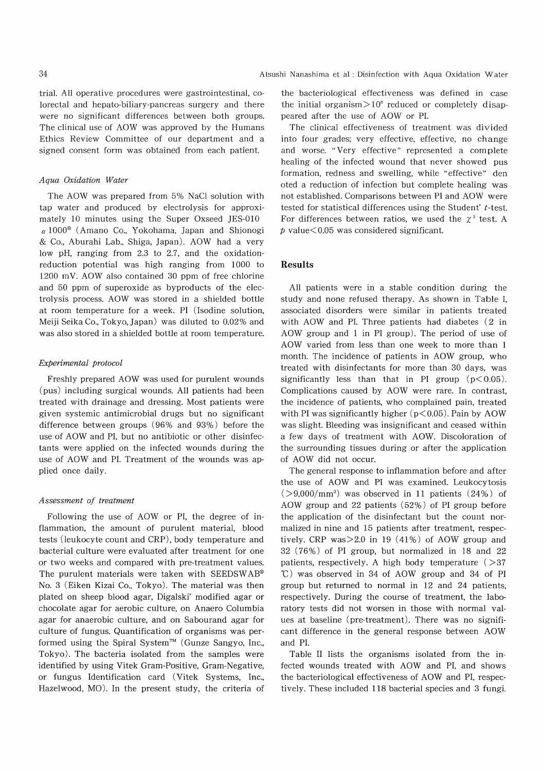trial. All operative procedures were gastrointestinal, colorectal and hepato-biliary-pancreas surgery and there were no significant differences between both groups. The clinical use of AOW was approved by the Humans Ethics Review Committee of our department and a signed consent form was obtained from each patient.

## Aqua Oxidation Water

The AOW was prepared from 5% NaC1 solution with tap water and produced by electrolysis for approximately 10 minutes using the Super Oxseed JES-010  $\alpha$  1000<sup>®</sup> (Amano Co., Yokohama, Japan and Shionogi & Co., Aburahi Lab., Shiga, Japan). AOW had a very low pH, ranging from 2.3 to 2.7, and the oxidationreduction potential was high ranging from 1000 to 1200 mV. AOW also contained 30 ppm of free chlorine and 50 ppm of superoxide as byproducts of the electrolysis process. AOW was stored in a shielded bottle at room temperature for a week. PI (Isodine solution, Meiji Seika Co., Tokyo, Japan) was diluted to 0.02% and was also stored in a shielded bottle at room temperature.

#### Experimental protocol

Freshly prepared AOW was used for purulent wounds (pus) including surgical wounds. All patients had been treated with drainage and dressing. Most patients were given systemic antimicrobial drugs but no significant difference between groups (96% and 93%) before the use of AOW and PI, but no antibiotic or other disinfectants were applied on the infected wounds during the use of AOW and PI. Treatment of the wounds was applied once daily.

#### Assessment of treatment

Following the use of AOW or PI, the degree of inflammation, the amount of purulent material, blood tests (leukocyte count and CRP), body temperature and bacterial culture were evaluated after treatment for one or two weeks and compared with pre-treatment values. The purulent materials were taken with SEEDSWAB® No. 3 (Eiken Kizai Co., Tokyo). The material was then plated on sheep blood agar, Digalski' modified agar or chocolate agar for aerobic culture, on Anaero Columbia agar for anaerobic culture, and on Sabourand agar for culture of fungus. Quantification of organisms was performed using the Spiral System<sup>TM</sup> (Gunze Sangyo, Inc., Tokyo). The bacteria isolated from the samples were identified by using Vitek Gram-Positive, Gram-Negative, or fungus Identification card (Vitek Systems, Inc., Hazelwood, MO). In the present study, the criteria of the bacteriological effectiveness was defined in case the initial organism $> 10^6$  reduced or completely disappeared after the use of AOW or PI.

The clinical effectiveness of treatment was divided into four grades; very effective, effective, no change and worse. "Very effective" represented a complete healing of the infected wound that never showed pus formation, redness and swelling, while "effective" den oted a reduction of infection but complete healing was not established. Comparisons between PI and AOW were tested for statistical differences using the Student'  $t$ -test. For differences between ratios, we used the  $\chi^2$  test. A  $p$  value  $< 0.05$  was considered significant.

# Results

All patients were in a stable condition during the study and none refused therapy. As shown in Table I, associated disorders were similar in patients treated with AOW and PI. Three patients had diabetes (2 in AOW group and 1 in PI group). The period of use of AOW varied from less than one week to more than 1 month. The incidence of patients in AOW group, who treated with disinfectants for more than 30 days, was significantly less than that in PI group  $(p<0.05)$ . Complications caused by AOW were rare. In contrast, the incidence of patients, who complained pain, treated with PI was significantly higher  $(p<0.05)$ . Pain by AOW was slight. Bleeding was insignificant and ceased within a few days of treatment with AOW. Discoloration of the surrounding tissues during or after the application of AOW did not occur.

The general response to inflammation before and after the use of AOW and PI was examined. Leukocytosis  $(>9,000/\text{mm}^3)$  was observed in 11 patients  $(24\%)$  of AOW group and 22 patients (52%) of PI group before the application of the disinfectant but the count normalized in nine and 15 patients after treatment, respectively. CRP was $> 2.0$  in 19 (41%) of AOW group and 32 (76%) of PI group, but normalized in 18 and 22 patients, respectively. A high body temperature ( $>37$  °C) was observed in 34 of AOW group and 34 of PI group but returned to normal in 12 and 24 patients, respectively. During the course of treatment, the laboratory tests did not worsen in those with normal values at baseline (pre-treatment). There was no significant difference in the general response between AOW and PI.

Table II lists the organisms isolated from the infected wounds treated with AOW and PI, and shows the bacteriological effectiveness of AOW and PI, respectively. These included 118 bacterial species and 3 fungi.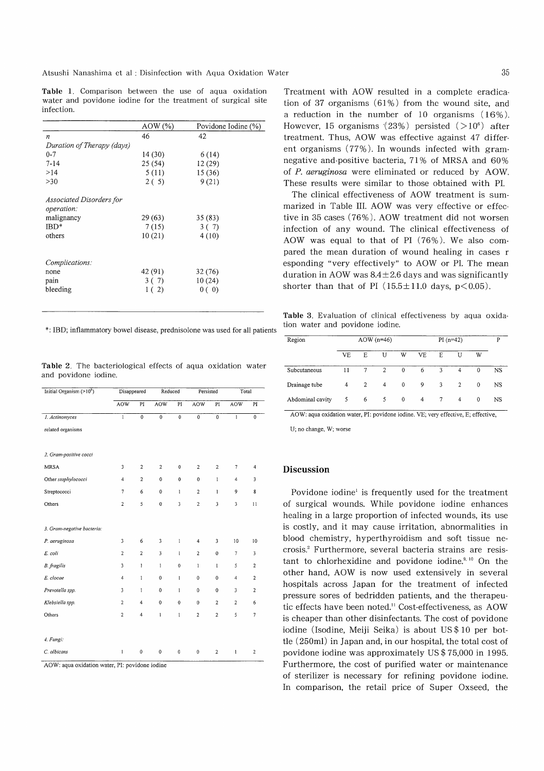Atsushi Nanashima et al : Disinfection with Aqua Oxidation Water

Table 1. Comparison between the use of aqua oxidation water and povidone iodine for the treatment of surgical site infection.

| AOW (%) | Povidone Iodine (%) |  |  |  |
|---------|---------------------|--|--|--|
| 46      | 42                  |  |  |  |
|         |                     |  |  |  |
| 14 (30) | 6 (14)              |  |  |  |
| 25(54)  | 12(29)              |  |  |  |
| 5(11)   | 15(36)              |  |  |  |
| 2(5)    | 9(21)               |  |  |  |
|         |                     |  |  |  |
|         |                     |  |  |  |
| 29 (63) | 35(83)              |  |  |  |
| 7(15)   | 3(7)                |  |  |  |
| 10(21)  | 4(10)               |  |  |  |
|         |                     |  |  |  |
|         | 32 (76)             |  |  |  |
|         | 10(24)              |  |  |  |
| 1(2)    | 0(0)                |  |  |  |
|         | 42 (91)<br>3 ( 7)   |  |  |  |

\*: IBD; inflammatory bowel disease, prednisolone was used for all patient

Table 2. The bacteriological effects of aqua oxidation water and povidone iodine.

| Initial Organism (>10 <sup>6</sup> ) | Disappeared             |                | Reduced                               |              | Persisted        |                  | Total          |                         |
|--------------------------------------|-------------------------|----------------|---------------------------------------|--------------|------------------|------------------|----------------|-------------------------|
|                                      | <b>AOW</b>              | PI             | <b>AOW</b>                            | PI           | <b>AOW</b>       | PI               | <b>AOW</b>     | PI                      |
| 1. Actinomyces                       | $\mathbf{1}$            | $\overline{0}$ | $\overline{0}$                        | $\mathbf 0$  | $\overline{0}$   | $\overline{0}$   | $\overline{1}$ | $\overline{0}$          |
| related organisms                    |                         |                |                                       |              |                  |                  |                |                         |
|                                      |                         |                |                                       |              |                  |                  |                |                         |
| 2. Gram-positive cocci               |                         |                |                                       |              |                  |                  |                |                         |
| <b>MRSA</b>                          | 3                       | $\overline{c}$ | $\overline{2}$                        | $\mathbf 0$  | $\boldsymbol{2}$ | $\boldsymbol{2}$ | 7              | 4                       |
| Other staphylococci                  | 4                       | $\overline{2}$ | 0                                     | $\mathbf 0$  | $\mathbf 0$      | $\mathbf{1}$     | $\sqrt{4}$     | 3                       |
| Streptococci                         | $\overline{7}$          | 6              | 0                                     | $\mathbf{I}$ | $\overline{2}$   | $\mathbf{I}$     | 9              | 8                       |
| Others                               | $\overline{c}$          | 5              | $\pmb{0}$                             | 3            | $\overline{2}$   | 3                | 3              | 11                      |
|                                      |                         |                |                                       |              |                  |                  |                |                         |
| 3. Gram-negative bacteria:           |                         |                |                                       |              |                  |                  |                |                         |
| P. aeruginosa                        | 3                       | 6              | 3                                     | $\mathbf{1}$ | $\overline{4}$   | 3                | 10             | 10                      |
| E. coli                              | $\overline{2}$          | $\overline{2}$ | 3                                     | $\mathbf{1}$ | $\overline{2}$   | $\mathbf 0$      | $\tau$         | 3                       |
| <b>B.</b> fragilis                   | 3                       | $\mathbf{I}$   | $\mathbf{1}$                          | $\pmb{0}$    | $\mathbf{1}$     | I                | 5              | $\overline{c}$          |
| E. clocae                            | $\overline{4}$          | 1              | $\bf{0}$                              | $\mathbf{1}$ | $\mathbf 0$      | $\mathbf 0$      | $\overline{4}$ | $\overline{c}$          |
| Prevotella spp.                      | 3                       | $\mathbf{1}$   | $\pmb{0}$                             | $\bf{l}$     | 0                | $\pmb{0}$        | 3              | $\overline{\mathbf{c}}$ |
| Klebsiella spp.                      | $\overline{a}$          | 4              | $\mathbf 0$                           | $\bf{0}$     | $\bf{0}$         | $\overline{2}$   | $\overline{2}$ | 6                       |
| Others                               | $\overline{\mathbf{c}}$ | 4              | $\begin{array}{c} \hline \end{array}$ | 1            | $\overline{c}$   | $\overline{c}$   | 5              | 7                       |
|                                      |                         |                |                                       |              |                  |                  |                |                         |
| 4. Fungi:                            |                         |                |                                       |              |                  |                  |                |                         |
| C. albicans                          | 1                       | $\mathbf 0$    | $\mathbf 0$                           | 0            | $\mathbf 0$      | $\overline{2}$   | $\mathbf{1}$   | $\overline{c}$          |

AOW: aqua oxidation water, PI: povidone iodine

Treatment with AOW resulted in a complete eradication of 37 organisms (61%) from the wound site, and a reduction in the number of 10 organisms (16%). However, 15 organisms  $(23%)$  persisted  $(>10<sup>6</sup>)$  after treatment. Thus, AOW was effective against 47 different organisms (77%). In wounds infected with gramnegative and-positive bacteria, 71% of MRSA and 60% of P. aeruginosa were eliminated or reduced by AOW. These results were similar to those obtained with PI.

The clinical effectiveness of AOW treatment is summarized in Table III. AOW was very effective or effective in 35 cases (76%). AOW treatment did not worsen infection of any wound. The clinical effectiveness of AOW was equal to that of PI (76%). We also compared the mean duration of wound healing in cases r esponding "very effectively" to AOW or PI. The mean duration in AOW was  $8.4 \pm 2.6$  days and was significantly shorter than that of PI ( $15.5 \pm 11.0$  days,  $p < 0.05$ ).

Table 3. Evaluation of clinical effectiveness by aqua oxidation water and povidone iodine.

| Region           | $AOW(n=46)$ |                |   | $PI(n=42)$   |     |        |                | P        |           |
|------------------|-------------|----------------|---|--------------|-----|--------|----------------|----------|-----------|
|                  | VF.         | E.             | U | W            | VF. | F.     | U              | W        |           |
| Subcutaneous     | 11          | $\tau$         | 2 | $\theta$     | 6   | 3      | $\overline{4}$ | $\theta$ | NS        |
| Drainage tube    | 4           | $\overline{2}$ | 4 | $\mathbf{0}$ | 9   | 3      | $\overline{2}$ | $\theta$ | <b>NS</b> |
| Abdominal cavity | 5           | 6              | 5 | $\mathbf{0}$ | 4   | $\tau$ | 4              | $\theta$ | NS        |

AOW: aqua oxidation water, PI: povidone iodine. VE; very effective, E; effective,

U; no change, W; worse

# Discussion

Povidone iodine' is frequently used for the treatment of surgical wounds. While povidone iodine enhances healing in a large proportion of infected wounds, its use is costly, and it may cause irritation, abnormalities in blood chemistry, hyperthyroidism and soft tissue necrosis.' Furthermore, several bacteria strains are resistant to chlorhexidine and povidone iodine. $9,10$  On the other hand, AOW is now used extensively in several hospitals across Japan for the treatment of infected pressure sores of bedridden patients, and the therapeutic effects have been noted." Cost-effectiveness, as AOW is cheaper than other disinfectants. The cost of povidone iodine (Isodine, Meiji Seika) is about US \$ 10 per bottle (250ml) in Japan and, in our hospital, the total cost of povidone iodine was approximately US \$ 75,000 in 1995. Furthermore, the cost of purified water or maintenance of sterilizer is necessary for refining povidone iodine. In comparison, the retail price of Super Oxseed, the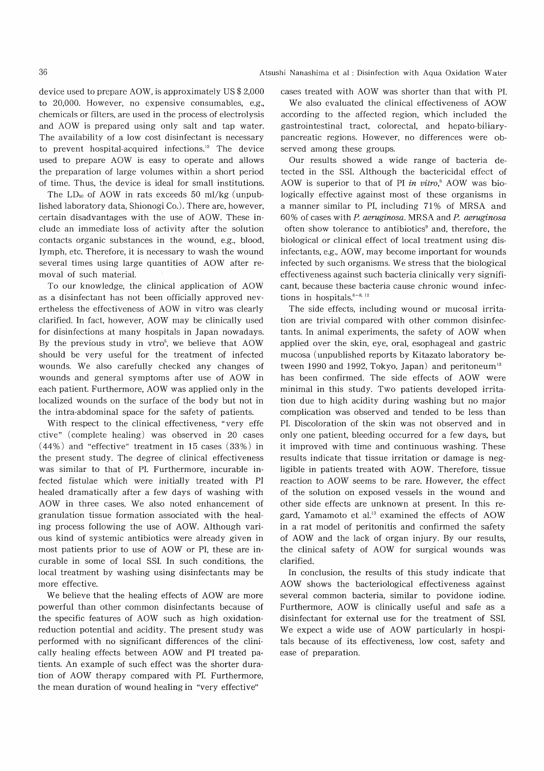device used to prepare AOW, is approximately US \$ 2,000 to 20,000. However, no expensive consumables, e.g., chemicals or filters, are used in the process of electrolysis and AOW is prepared using only salt and tap water. The availability of a low cost disinfectant is necessary to prevent hospital-acquired infections." The device used to prepare AOW is easy to operate and allows the preparation of large volumes within a short period of time. Thus, the device is ideal for small institutions.

The  $LD_{50}$  of AOW in rats exceeds 50 ml/kg (unpublished laboratory data, Shionogi Co.). There are, however, certain disadvantages with the use of AOW. These include an immediate loss of activity after the solution contacts organic substances in the wound, e.g., blood, lymph, etc. Therefore, it is necessary to wash the wound several times using large quantities of AOW after removal of such material.

To our knowledge, the clinical application of AOW as a disinfectant has not been officially approved nevertheless the effectiveness of AOW in vitro was clearly clarified. In fact, however, AOW may be clinically used for disinfections at many hospitals in Japan nowadays. By the previous study in  $v\text{tr}o^5$ , we believe that AOW should be very useful for the treatment of infected wounds. We also carefully checked any changes of wounds and general symptoms after use of AOW in each patient. Furthermore, AOW was applied only in the localized wounds on the surface of the body but not in the intra-abdominal space for the safety of patients.

With respect to the clinical effectiveness, "very effe ctive" (complete healing) was observed in 20 cases (44%) and "effective" treatment in 15 cases (33%) in the present study. The degree of clinical effectiveness was similar to that of PI. Furthermore, incurable infected fistulae which were initially treated with PI healed dramatically after a few days of washing with AOW in three cases. We also noted enhancement of granulation tissue formation associated with the healing process following the use of AOW. Although various kind of systemic antibiotics were already given in most patients prior to use of AOW or PI, these are incurable in some of local SSI. In such conditions, the local treatment by washing using disinfectants may be more effective.

We believe that the healing effects of AOW are more powerful than other common disinfectants because of the specific features of AOW such as high oxidationreduction potential and acidity. The present study was performed with no significant differences of the clinically healing effects between AOW and PI treated patients. An example of such effect was the shorter duration of AOW therapy compared with PI. Furthermore, the mean duration of wound healing in "very effective"

Atsushi Nanashima et al : Disinfection with Aqua Oxidation Water

cases treated with AOW was shorter than that with PI.

We also evaluated the clinical effectiveness of AOW according to the affected region, which included the gastrointestinal tract, colorectal, and hepato-biliarypancreatic regions. However, no differences were observed among these groups.

Our results showed a wide range of bacteria detected in the SSI. Although the bactericidal effect of AOW is superior to that of PI in vitro,<sup>5</sup> AOW was biologically effective against most of these organisms in a manner similar to PI, including 71% of MRSA and 60% of cases with P. aeruginosa. MRSA and P. aeruginosa often show tolerance to antibiotics' and, therefore, the biological or clinical effect of local treatment using disinfectants, e.g., AOW, may become important for wounds infected by such organisms. We stress that the biological effectiveness against such bacteria clinically very significant, because these bacteria cause chronic wound infections in hospitals. $6-8$ , 12

The side effects, including wound or mucosal irritation are trivial compared with other common disinfectants. In animal experiments, the safety of AOW when applied over the skin, eye, oral, esophageal and gastric mucosa (unpublished reports by Kitazato laboratory between 1990 and 1992, Tokyo, Japan) and peritoneum<sup>13</sup> has been confirmed. The side effects of AOW were minimal in this study. Two patients developed irritation due to high acidity during washing but no major complication was observed and tended to be less than PI. Discoloration of the skin was not observed and in only one patient, bleeding occurred for a few days, but it improved with time and continuous washing. These results indicate that tissue irritation or damage is negligible in patients treated with AOW. Therefore, tissue reaction to AOW seems to be rare. However, the effect of the solution on exposed vessels in the wound and other side effects are unknown at present. In this regard, Yamamoto et al." examined the effects of AOW in a rat model of peritonitis and confirmed the safety of AOW and the lack of organ injury. By our results, the clinical safety of AOW for surgical wounds was clarified.

In conclusion, the results of this study indicate that AOW shows the bacteriological effectiveness against several common bacteria, similar to povidone iodine. Furthermore, AOW is clinically useful and safe as a disinfectant for external use for the treatment of SSI. We expect a wide use of AOW particularly in hospitals because of its effectiveness, low cost, safety and ease of preparation.